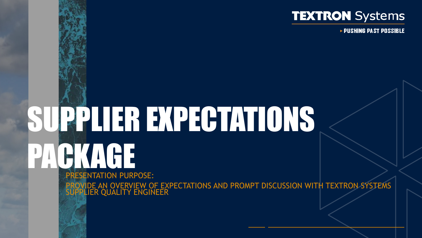

▶ PUSHING PAST POSSIBLE

## PRESENTATION PURPOSE: PROVIDE AN OVERVIEW OF EXPECTATIONS AND PROMPT DISCUSSION WITH TEXTRON SYSTEMS SUPPLIER EXPECTATIONS **CHACKAGE**

SUPPLIER QUALITY ENGINEER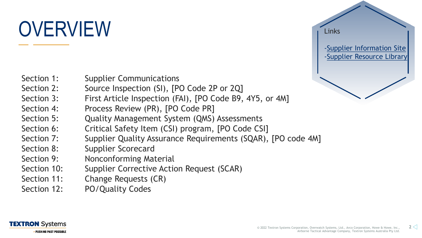# OVERVIEW



- Section 1: Supplier Communications
- Section 2: Source Inspection (SI), [PO Code 2P or 2Q]
- Section 3: First Article Inspection (FAI), [PO Code B9, 4Y5, or 4M]
- Section 4: Process Review (PR), [PO Code PR]
- Section 5: Quality Management System (QMS) Assessments
- Section 6: Critical Safety Item (CSI) program, [PO Code CSI]
- Section 7: Supplier Quality Assurance Requirements (SQAR), [PO code 4M]
- Section 8: Supplier Scorecard
- Section 9: Nonconforming Material
- Section 10: Supplier Corrective Action Request (SCAR)
- Section 11: Change Requests (CR)
- Section 12: PO/Quality Codes

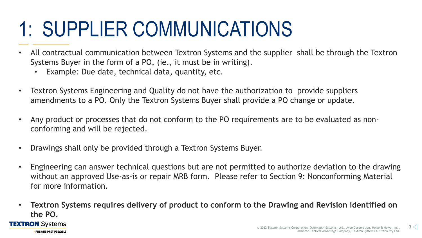## 1: SUPPLIER COMMUNICATIONS

- All contractual communication between Textron Systems and the supplier shall be through the Textron Systems Buyer in the form of a PO, (ie., it must be in writing).
	- Example: Due date, technical data, quantity, etc.
- Textron Systems Engineering and Quality do not have the authorization to provide suppliers amendments to a PO. Only the Textron Systems Buyer shall provide a PO change or update.
- Any product or processes that do not conform to the PO requirements are to be evaluated as nonconforming and will be rejected.
- Drawings shall only be provided through a Textron Systems Buyer.
- Engineering can answer technical questions but are not permitted to authorize deviation to the drawing without an approved Use-as-is or repair MRB form. Please refer to Section 9: Nonconforming Material for more information.
- **Textron Systems requires delivery of product to conform to the Drawing and Revision identified on the PO.**

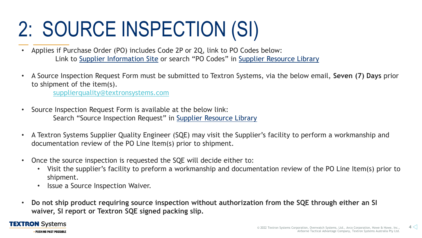# 2: SOURCE INSPECTION (SI)

- Applies if Purchase Order (PO) includes Code 2P or 2Q, link to PO Codes below: Link to [Supplier Information Site](https://www.textronsystems.com/services-support/suppliers) or search "PO Codes" in [Supplier Resource Library](https://www.textronsystems.com/services-support/supplier-resource-library)
- A Source Inspection Request Form must be submitted to Textron Systems, via the below email, **Seven (7) Days** prior to shipment of the item(s).

[supplierquality@textronsystems.com](mailto:supplierquality@textronsystems.com)

- Source Inspection Request Form is available at the below link: Search "Source Inspection Request" in [Supplier Resource Library](https://www.textronsystems.com/services-support/supplier-resource-library)
- A Textron Systems Supplier Quality Engineer (SQE) may visit the Supplier's facility to perform a workmanship and documentation review of the PO Line Item(s) prior to shipment.
- Once the source inspection is requested the SQE will decide either to:
	- Visit the supplier's facility to preform a workmanship and documentation review of the PO Line Item(s) prior to shipment.
	- **Issue a Source Inspection Waiver.**
- **Do not ship product requiring source inspection without authorization from the SQE through either an SI waiver, SI report or Textron SQE signed packing slip.**

#### **TEXTRON** Systems **PUSHING PAST POSSIBLE**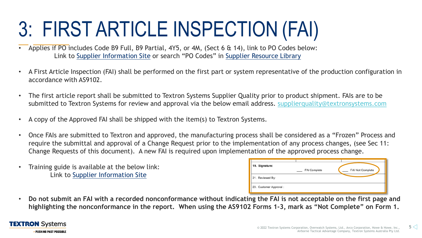# 3: FIRST ARTICLE INSPECTION (FAI)

- Applies if PO includes Code B9 Full, B9 Partial, 4Y5, or 4M, (Sect 6 & 14), link to PO Codes below: Link to [Supplier Information Site](https://www.textronsystems.com/services-support/suppliers) or search "PO Codes" in [Supplier Resource Library](https://www.textronsystems.com/services-support/supplier-resource-library)
- A First Article Inspection (FAI) shall be performed on the first part or system representative of the production configuration in accordance with AS9102.
- The first article report shall be submitted to Textron Systems Supplier Quality prior to product shipment. FAIs are to be submitted to Textron Systems for review and approval via the below email address. [supplierquality@textronsystems.com](mailto:supplierquality@textronsystems.com)
- A copy of the Approved FAI shall be shipped with the item(s) to Textron Systems.
- Once FAIs are submitted to Textron and approved, the manufacturing process shall be considered as a "Frozen" Process and require the submittal and approval of a Change Request prior to the implementation of any process changes, (see Sec 11: Change Requests of this document). A new FAI is required upon implementation of the approved process change.
- Training guide is available at the below link: Link to [Supplier Information Site](https://www.textronsystems.com/services-support/suppliers)

| 19. Signature:          | <b>FAI Complete</b> | FAI Not Complete |
|-------------------------|---------------------|------------------|
| 21. Reviewed By:        |                     |                  |
| 23. Customer Approval : |                     |                  |

• **Do not submit an FAI with a recorded nonconformance without indicating the FAI is not acceptable on the first page and highlighting the nonconformance in the report. When using the AS9102 Forms 1-3, mark as "Not Complete" on Form 1.**

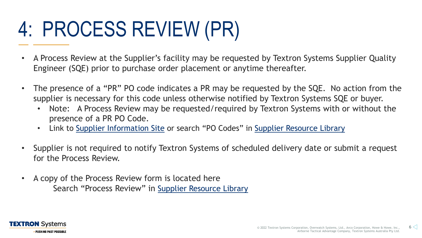# 4: PROCESS REVIEW (PR)

- A Process Review at the Supplier's facility may be requested by Textron Systems Supplier Quality Engineer (SQE) prior to purchase order placement or anytime thereafter.
- The presence of a "PR" PO code indicates a PR may be requested by the SQE. No action from the supplier is necessary for this code unless otherwise notified by Textron Systems SQE or buyer.
	- Note: A Process Review may be requested/required by Textron Systems with or without the presence of a PR PO Code.
	- Link to [Supplier Information Site](https://www.textronsystems.com/services-support/suppliers) or search "PO Codes" in [Supplier Resource Library](https://www.textronsystems.com/services-support/supplier-resource-library)
- Supplier is not required to notify Textron Systems of scheduled delivery date or submit a request for the Process Review.
- A copy of the Process Review form is located here Search "Process Review" in [Supplier Resource Library](https://www.textronsystems.com/services-support/supplier-resource-library)

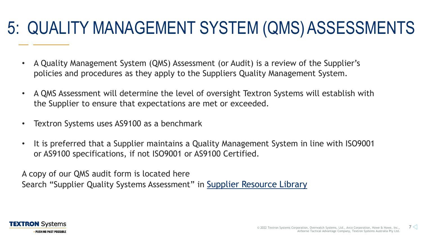#### 5: QUALITY MANAGEMENT SYSTEM (QMS)ASSESSMENTS

- A Quality Management System (QMS) Assessment (or Audit) is a review of the Supplier's policies and procedures as they apply to the Suppliers Quality Management System.
- A QMS Assessment will determine the level of oversight Textron Systems will establish with the Supplier to ensure that expectations are met or exceeded.
- Textron Systems uses AS9100 as a benchmark
- It is preferred that a Supplier maintains a Quality Management System in line with ISO9001 or AS9100 specifications, if not ISO9001 or AS9100 Certified.

A copy of our QMS audit form is located here Search "Supplier Quality Systems Assessment" in [Supplier Resource Library](https://www.textronsystems.com/services-support/supplier-resource-library)

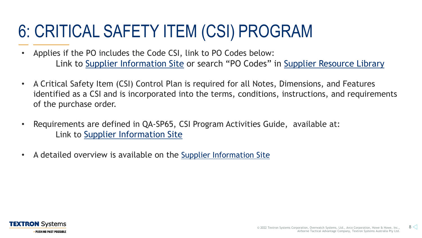### 6: CRITICAL SAFETY ITEM (CSI) PROGRAM

- Applies if the PO includes the Code CSI, link to PO Codes below: Link to [Supplier Information Site](https://www.textronsystems.com/services-support/suppliers) or search "PO Codes" in [Supplier Resource Library](https://www.textronsystems.com/services-support/supplier-resource-library)
- A Critical Safety Item (CSI) Control Plan is required for all Notes, Dimensions, and Features identified as a CSI and is incorporated into the terms, conditions, instructions, and requirements of the purchase order.
- Requirements are defined in QA-SP65, CSI Program Activities Guide, available at: Link to [Supplier Information Site](https://www.textronsystems.com/services-support/suppliers)
- A detailed overview is available on the [Supplier Information Site](https://www.textronsystems.com/services-support/suppliers)

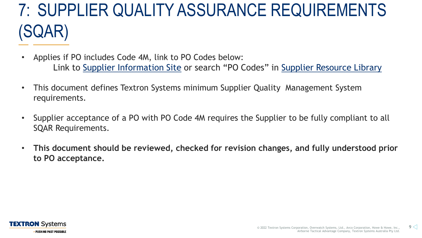### 7: SUPPLIER QUALITY ASSURANCE REQUIREMENTS (SQAR)

- Applies if PO includes Code 4M, link to PO Codes below: Link to [Supplier Information Site](https://www.textronsystems.com/services-support/suppliers) or search "PO Codes" in [Supplier Resource Library](https://www.textronsystems.com/services-support/supplier-resource-library)
- This document defines Textron Systems minimum Supplier Quality Management System requirements.
- Supplier acceptance of a PO with PO Code 4M requires the Supplier to be fully compliant to all SQAR Requirements.
- **This document should be reviewed, checked for revision changes, and fully understood prior to PO acceptance.**

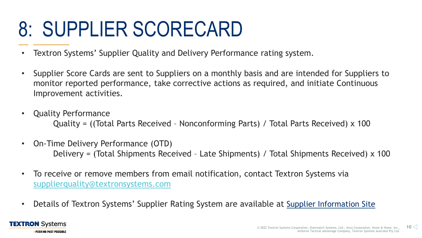## 8: SUPPLIER SCORECARD

- Textron Systems' Supplier Quality and Delivery Performance rating system.
- Supplier Score Cards are sent to Suppliers on a monthly basis and are intended for Suppliers to monitor reported performance, take corrective actions as required, and initiate Continuous Improvement activities.
- Quality Performance Quality = ((Total Parts Received – Nonconforming Parts) / Total Parts Received) x 100
- On-Time Delivery Performance (OTD) Delivery = (Total Shipments Received – Late Shipments) / Total Shipments Received) x 100
- To receive or remove members from email notification, contact Textron Systems via [supplierquality@textronsystems.com](mailto:supplierquality@textronsystems.com)
- Details of Textron Systems' Supplier Rating System are available at [Supplier Information Site](https://www.textronsystems.com/services-support/suppliers)

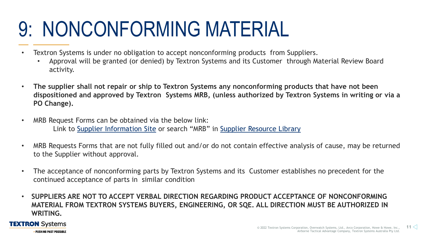## 9: NONCONFORMING MATERIAL

- Textron Systems is under no obligation to accept nonconforming products from Suppliers.
	- Approval will be granted (or denied) by Textron Systems and its Customer through Material Review Board activity.
- **The supplier shall not repair or ship to Textron Systems any nonconforming products that have not been dispositioned and approved by Textron Systems MRB, (unless authorized by Textron Systems in writing or via a PO Change).**
- MRB Request Forms can be obtained via the below link: Link to [Supplier Information Site](https://www.textronsystems.com/services-support/suppliers) or search "MRB" in [Supplier Resource Library](https://www.textronsystems.com/services-support/supplier-resource-library)
- MRB Requests Forms that are not fully filled out and/or do not contain effective analysis of cause, may be returned to the Supplier without approval.
- The acceptance of nonconforming parts by Textron Systems and its Customer establishes no precedent for the continued acceptance of parts in similar condition
- **SUPPLIERS ARE NOT TO ACCEPT VERBAL DIRECTION REGARDING PRODUCT ACCEPTANCE OF NONCONFORMING MATERIAL FROM TEXTRON SYSTEMS BUYERS, ENGINEERING, OR SQE. ALL DIRECTION MUST BE AUTHORIZED IN WRITING.**

#### **TEXTRON** Systems **PUSHING PAST POSSIBLE**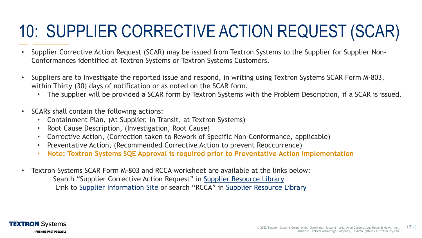### 10: SUPPLIER CORRECTIVE ACTION REQUEST (SCAR)

- Supplier Corrective Action Request (SCAR) may be issued from Textron Systems to the Supplier for Supplier Non-Conformances identified at Textron Systems or Textron Systems Customers.
- Suppliers are to Investigate the reported issue and respond, in writing using Textron Systems SCAR Form M-803, within Thirty (30) days of notification or as noted on the SCAR form.
	- The supplier will be provided a SCAR form by Textron Systems with the Problem Description, if a SCAR is issued.
- SCARs shall contain the following actions:
	- Containment Plan, (At Supplier, in Transit, at Textron Systems)
	- Root Cause Description, (Investigation, Root Cause)
	- Corrective Action, (Correction taken to Rework of Specific Non-Conformance, applicable)
	- Preventative Action, (Recommended Corrective Action to prevent Reoccurrence)
	- **Note: Textron Systems SQE Approval is required prior to Preventative Action Implementation**
- Textron Systems SCAR Form M-803 and RCCA worksheet are available at the links below: Search "Supplier Corrective Action Request" in [Supplier Resource Library](https://www.textronsystems.com/services-support/supplier-resource-library) Link to [Supplier Information Site](https://www.textronsystems.com/services-support/suppliers) or search "RCCA" in [Supplier Resource Library](https://www.textronsystems.com/services-support/supplier-resource-library)

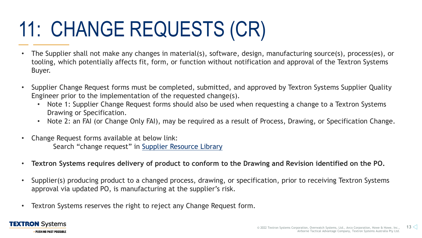# 11: CHANGE REQUESTS (CR)

- The Supplier shall not make any changes in material(s), software, design, manufacturing source(s), process(es), or tooling, which potentially affects fit, form, or function without notification and approval of the Textron Systems Buyer.
- Supplier Change Request forms must be completed, submitted, and approved by Textron Systems Supplier Quality Engineer prior to the implementation of the requested change(s).
	- Note 1: Supplier Change Request forms should also be used when requesting a change to a Textron Systems Drawing or Specification.
	- Note 2: an FAI (or Change Only FAI), may be required as a result of Process, Drawing, or Specification Change.
- Change Request forms available at below link: Search "change request" in [Supplier Resource Library](https://www.textronsystems.com/services-support/supplier-resource-library)
- **Textron Systems requires delivery of product to conform to the Drawing and Revision identified on the PO.**
- Supplier(s) producing product to a changed process, drawing, or specification, prior to receiving Textron Systems approval via updated PO, is manufacturing at the supplier's risk.
- Textron Systems reserves the right to reject any Change Request form.

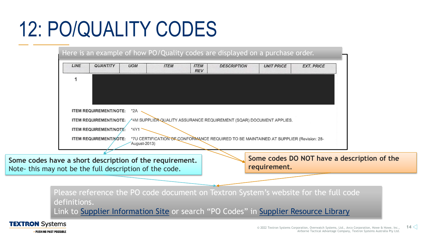## 12: PO/QUALITY CODES

|      |                               |              |             |                           | Here is an example of how PO/Quality codes are displayed on a purchase order.         |                   |                   |
|------|-------------------------------|--------------|-------------|---------------------------|---------------------------------------------------------------------------------------|-------------------|-------------------|
| LINE | <b>QUANTITY</b>               | <b>UOM</b>   | <b>ITEM</b> | <b>ITEM</b><br><b>REV</b> | <b>DESCRIPTION</b>                                                                    | <b>UNIT PRICE</b> | <b>EXT. PRICE</b> |
|      |                               |              |             |                           |                                                                                       |                   |                   |
|      |                               |              |             |                           |                                                                                       |                   |                   |
|      |                               |              |             |                           |                                                                                       |                   |                   |
|      | <b>ITEM REQUIREMENT/NOTE:</b> | $*2A$        |             |                           |                                                                                       |                   |                   |
|      | <b>ITEM REQUIREMENT/NOTE:</b> |              |             |                           | ∕*4M SUPPLIÈR-QUALITY ASSURANCE REQUIREMENT (SQAR) DOCUMENT APPLIES.                  |                   |                   |
|      | <b>ITEM REQUIREMENT/NOTE:</b> | *4Y1         |             |                           |                                                                                       |                   |                   |
|      | <b>ITEM REQUIREMENT/MOTE:</b> | August-2013) |             |                           | *7U CERTIFICATION OF CONFORMANCE REQUIRED TO BE MAINTAINED AT SUPPLIER (Revision: 28- |                   |                   |
|      |                               |              |             |                           |                                                                                       |                   |                   |

**Some codes have a short description of the requirement.** Note- this may not be the full description of the code.

**Some codes DO NOT have a description of the requirement.**

Please reference the PO code document on Textron System's website for the full code definitions.

Link to [Supplier Information Site](https://www.textronsystems.com/services-support/suppliers) or search "PO Codes" in [Supplier Resource Library](https://www.textronsystems.com/services-support/supplier-resource-library)